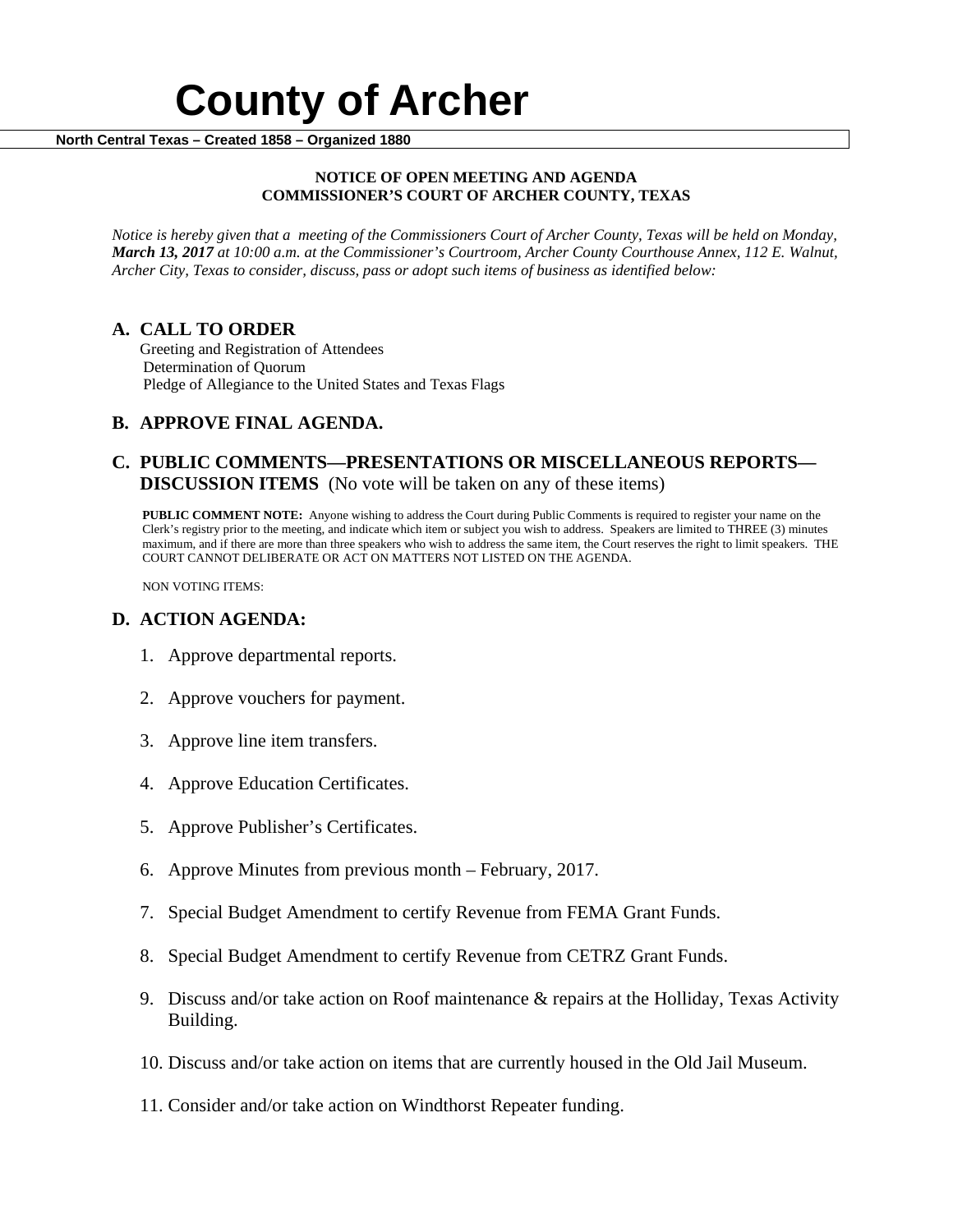# **County of Archer North Central Texas – Created 1858 – Organized 1880**

#### **NOTICE OF OPEN MEETING AND AGENDA COMMISSIONER'S COURT OF ARCHER COUNTY, TEXAS**

*Notice is hereby given that a meeting of the Commissioners Court of Archer County, Texas will be held on Monday, March 13, 2017 at 10:00 a.m. at the Commissioner's Courtroom, Archer County Courthouse Annex, 112 E. Walnut, Archer City, Texas to consider, discuss, pass or adopt such items of business as identified below:*

**A. CALL TO ORDER** Greeting and Registration of Attendees Determination of Quorum Pledge of Allegiance to the United States and Texas Flags

## **B. APPROVE FINAL AGENDA.**

### **C. PUBLIC COMMENTS—PRESENTATIONS OR MISCELLANEOUS REPORTS— DISCUSSION ITEMS** (No vote will be taken on any of these items)

**PUBLIC COMMENT NOTE:** Anyone wishing to address the Court during Public Comments is required to register your name on the Clerk's registry prior to the meeting, and indicate which item or subject you wish to address. Speakers are limited to THREE (3) minutes maximum, and if there are more than three speakers who wish to address the same item, the Court reserves the right to limit speakers. THE COURT CANNOT DELIBERATE OR ACT ON MATTERS NOT LISTED ON THE AGENDA.

NON VOTING ITEMS:

### **D. ACTION AGENDA:**

- 1. Approve departmental reports.
- 2. Approve vouchers for payment.
- 3. Approve line item transfers.
- 4. Approve Education Certificates.
- 5. Approve Publisher's Certificates.
- 6. Approve Minutes from previous month February, 2017.
- 7. Special Budget Amendment to certify Revenue from FEMA Grant Funds.
- 8. Special Budget Amendment to certify Revenue from CETRZ Grant Funds.
- 9. Discuss and/or take action on Roof maintenance & repairs at the Holliday, Texas Activity Building.
- 10. Discuss and/or take action on items that are currently housed in the Old Jail Museum.
- 11. Consider and/or take action on Windthorst Repeater funding.